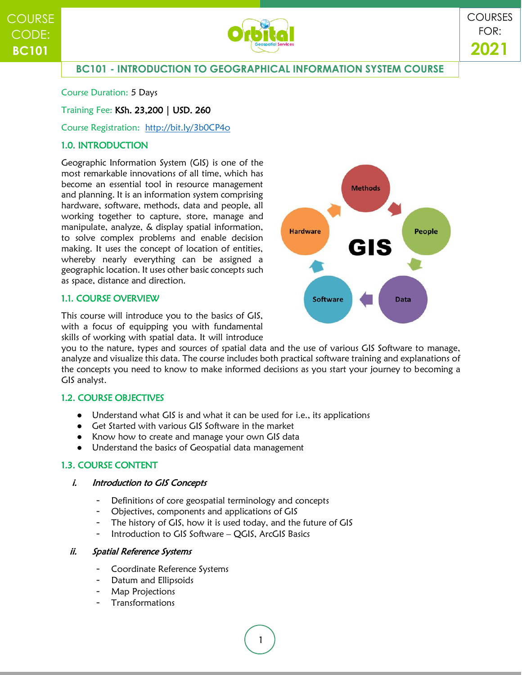

# **BC101 - INTRODUCTION TO GEOGRAPHICAL INFORMATION SYSTEM COURSE**

Course Duration: 5 Days

## Training Fee: KSh. 23,200 | USD. 260

## Course Registration: <http://bit.ly/3b0CP4o>

## 1.0. INTRODUCTION

Geographic Information System (GIS) is one of the most remarkable innovations of all time, which has become an essential tool in resource management and planning. It is an information system comprising hardware, software, methods, data and people, all working together to capture, store, manage and manipulate, analyze, & display spatial information, to solve complex problems and enable decision making. It uses the concept of location of entities, whereby nearly everything can be assigned a geographic location. It uses other basic concepts such as space, distance and direction.

## 1.1. COURSE OVERVIEW

This course will introduce you to the basics of GIS, with a focus of equipping you with fundamental skills of working with spatial data. It will introduce



## 1.2. COURSE OBJECTIVES

- Understand what GIS is and what it can be used for i.e., its applications
- Get Started with various GIS Software in the market
- Know how to create and manage your own GIS data
- Understand the basics of Geospatial data management

## 1.3. COURSE CONTENT

#### i. Introduction to GIS Concepts

- Definitions of core geospatial terminology and concepts
- Objectives, components and applications of GIS
- The history of GIS, how it is used today, and the future of GIS
- Introduction to GIS Software QGIS, ArcGIS Basics

#### ii. Spatial Reference Systems

- Coordinate Reference Systems
- Datum and Ellipsoids
- Map Projections
- **Transformations**

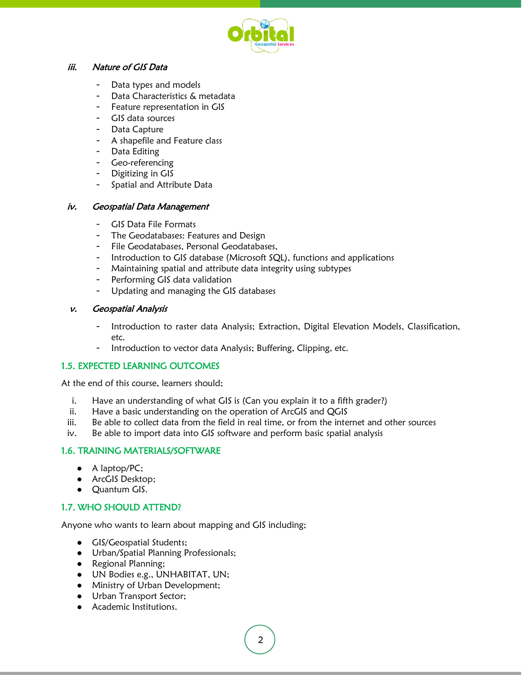

#### iii. Nature of GIS Data

- Data types and models
- Data Characteristics & metadata
- Feature representation in GIS
- GIS data sources
- Data Capture
- A shapefile and Feature class
- Data Editing
- Geo-referencing
- Digitizing in GIS
- Spatial and Attribute Data

#### iv. Geospatial Data Management

- GIS Data File Formats
- The Geodatabases: Features and Design
- File Geodatabases, Personal Geodatabases,
- Introduction to GIS database (Microsoft SQL), functions and applications
- Maintaining spatial and attribute data integrity using subtypes
- Performing GIS data validation
- Updating and managing the GIS databases

#### v. Geospatial Analysis

- Introduction to raster data Analysis; Extraction, Digital Elevation Models, Classification, etc.
- Introduction to vector data Analysis; Buffering, Clipping, etc.

#### 1.5. EXPECTED LEARNING OUTCOMES

At the end of this course, learners should;

- i. Have an understanding of what GIS is (Can you explain it to a fifth grader?)
- ii. Have a basic understanding on the operation of ArcGIS and QGIS
- iii. Be able to collect data from the field in real time, or from the internet and other sources
- iv. Be able to import data into GIS software and perform basic spatial analysis

## 1.6. TRAINING MATERIALS/SOFTWARE

- A laptop/PC;
- ArcGIS Desktop;
- Quantum GIS.

## 1.7. WHO SHOULD ATTEND?

Anyone who wants to learn about mapping and GIS including;

- GIS/Geospatial Students;
- Urban/Spatial Planning Professionals;
- Regional Planning;
- UN Bodies e.g., UNHABITAT, UN;
- Ministry of Urban Development;
- Urban Transport Sector;
- Academic Institutions.